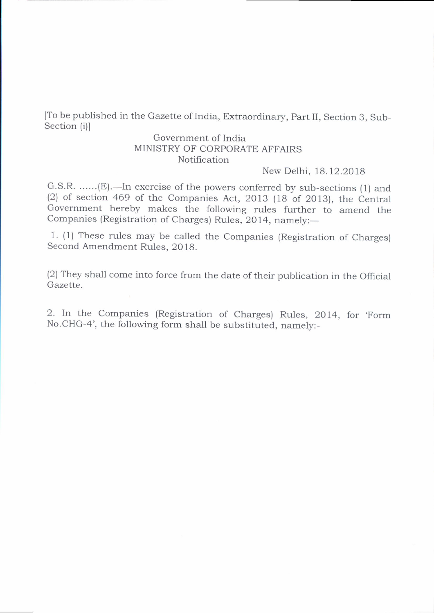[To be published in the Gazette of India, Extraordinary, part II, Section 3, Sub-Section (i)l

## Government of India MINISTRY OF CORPORATE AFFAIRS Notification

New Delhi, 18.12.2018

G.S.R. ......(E).—In exercise of the powers conferred by sub-sections (1) and (2) of section 469 of the Companies Act, 2013 (18 of 2013), the Central Government hereby makes the following rules further to amend the Companies (Registration of Charges) Rules, 2014, namely:-

1. (1) These rules may be called the Companies (Registration of Charges) Second Amendment Rules. 2018.

(2) They shall come into force from the date of their publication in the official Gazette.

2. In the Companies (Registration of Charges) Rules, 2014, for 'Form No.CHG-4', the following form shall be substituted, namely:-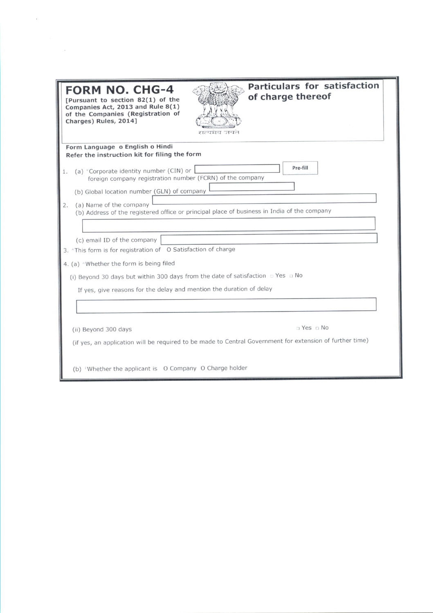| <b>FORM NO. CHG-4</b><br>[Pursuant to section 82(1) of the<br>Companies Act, 2013 and Rule 8(1)<br>of the Companies (Registration of<br>Charges) Rules, 2014]                              | Particulars for satisfaction<br>of charge thereof<br>सत्यमव जयत                                          |  |  |  |
|--------------------------------------------------------------------------------------------------------------------------------------------------------------------------------------------|----------------------------------------------------------------------------------------------------------|--|--|--|
| Form Language o English o Hindi<br>Refer the instruction kit for filing the form                                                                                                           |                                                                                                          |  |  |  |
| (a) *Corporate identity number (CIN) or<br>1.<br>foreign company registration number (FCRN) of the company<br>(b) Global location number (GLN) of company<br>(a) Name of the company<br>2. | Pre-fill<br>(b) Address of the registered office or principal place of business in India of the company  |  |  |  |
|                                                                                                                                                                                            |                                                                                                          |  |  |  |
|                                                                                                                                                                                            |                                                                                                          |  |  |  |
| (c) email ID of the company<br>3. *This form is for registration of O Satisfaction of charge                                                                                               |                                                                                                          |  |  |  |
| 4. (a) *Whether the form is being filed                                                                                                                                                    |                                                                                                          |  |  |  |
| (i) Beyond 30 days but within 300 days from the date of satisfaction $\Box$ Yes $\Box$ No                                                                                                  |                                                                                                          |  |  |  |
| If yes, give reasons for the delay and mention the duration of delay                                                                                                                       |                                                                                                          |  |  |  |
|                                                                                                                                                                                            |                                                                                                          |  |  |  |
|                                                                                                                                                                                            |                                                                                                          |  |  |  |
| (ii) Beyond 300 days                                                                                                                                                                       | $\Box$ Yes $\Box$ No                                                                                     |  |  |  |
|                                                                                                                                                                                            | (if yes, an application will be required to be made to Central Government for extension of further time) |  |  |  |
| (b) *Whether the applicant is O Company O Charge holder                                                                                                                                    |                                                                                                          |  |  |  |

 $\mathcal{K}^{\mathcal{A}}_{\mathcal{A}}$  and  $\mathcal{A}^{\mathcal{A}}_{\mathcal{A}}$ 

 $\label{eq:2.1} \begin{array}{c} \mathcal{A} \\ \mathcal{B} \\ \mathcal{B} \end{array}$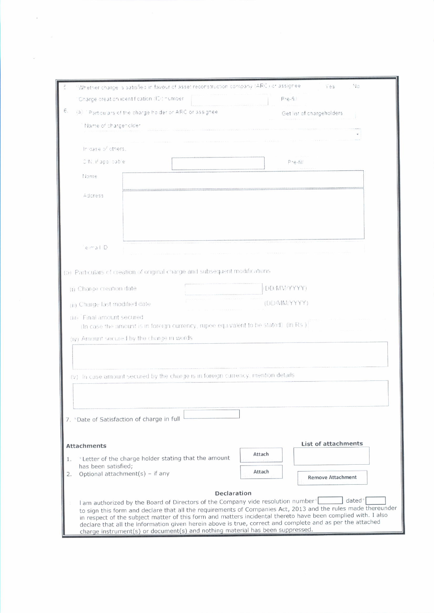|    | Whether charge is satisfied in favour of asset reconstruction company (ARC) or assignee      |                    | No<br>i es                                                                                                                                                                                                                |  |
|----|----------------------------------------------------------------------------------------------|--------------------|---------------------------------------------------------------------------------------------------------------------------------------------------------------------------------------------------------------------------|--|
|    | Charge oreation identification (ID) number                                                   | $P - 5 - 5$        |                                                                                                                                                                                                                           |  |
| Е. | (3) "Particulars of the charge holder or ARC or assignee                                     |                    | Get list of chargeholders                                                                                                                                                                                                 |  |
|    | Name of chargeholder                                                                         |                    |                                                                                                                                                                                                                           |  |
|    |                                                                                              |                    |                                                                                                                                                                                                                           |  |
|    | In oase of others,                                                                           |                    |                                                                                                                                                                                                                           |  |
|    | CIN, if applicable                                                                           |                    | $P - e - 11$                                                                                                                                                                                                              |  |
|    | Name                                                                                         |                    |                                                                                                                                                                                                                           |  |
|    | Address                                                                                      |                    |                                                                                                                                                                                                                           |  |
|    |                                                                                              |                    |                                                                                                                                                                                                                           |  |
|    |                                                                                              |                    |                                                                                                                                                                                                                           |  |
|    |                                                                                              |                    |                                                                                                                                                                                                                           |  |
|    | $e-r-a+D$                                                                                    |                    |                                                                                                                                                                                                                           |  |
|    |                                                                                              |                    |                                                                                                                                                                                                                           |  |
|    | (b) Particulars of creation of original charge and subsequent modifications                  |                    |                                                                                                                                                                                                                           |  |
|    | (i) Charge creation date                                                                     |                    | (DD:MM/YYYYY)                                                                                                                                                                                                             |  |
|    | (DD/MM/YYYY)<br>(ii) Charge last modified date                                               |                    |                                                                                                                                                                                                                           |  |
|    | (iii) Final amount secured                                                                   |                    |                                                                                                                                                                                                                           |  |
|    | (In case the amount is in foreign currency, rupee equivalent to be stated) (in Rs ).         |                    |                                                                                                                                                                                                                           |  |
|    | (iv) Amount secured by the charge in words.                                                  |                    |                                                                                                                                                                                                                           |  |
|    |                                                                                              |                    |                                                                                                                                                                                                                           |  |
|    |                                                                                              |                    |                                                                                                                                                                                                                           |  |
|    | (v) In case amount secured by the charge is in foreign currency, mention details             |                    |                                                                                                                                                                                                                           |  |
|    |                                                                                              |                    |                                                                                                                                                                                                                           |  |
|    |                                                                                              |                    |                                                                                                                                                                                                                           |  |
|    | 7. * Date of Satisfaction of charge in full                                                  |                    |                                                                                                                                                                                                                           |  |
|    |                                                                                              |                    |                                                                                                                                                                                                                           |  |
|    | <b>Attachments</b>                                                                           |                    | List of attachments                                                                                                                                                                                                       |  |
| 1. | * Letter of the charge holder stating that the amount                                        |                    | Attach                                                                                                                                                                                                                    |  |
| 2. | has been satisfied;<br>Optional attachment(s) - if any                                       |                    | Attach                                                                                                                                                                                                                    |  |
|    |                                                                                              |                    | <b>Remove Attachment</b>                                                                                                                                                                                                  |  |
|    |                                                                                              | <b>Declaration</b> | dated <sup>*</sup>                                                                                                                                                                                                        |  |
|    | I am authorized by the Board of Directors of the Company vide resolution number <sup>+</sup> |                    | to sign this form and declare that all the requirements of Companies Act, 2013 and the rules made thereunder                                                                                                              |  |
|    |                                                                                              |                    | in respect of the subject matter of this form and matters incidental thereto have been complied with. I also<br>declare that all the information given herein above is true, correct and complete and as per the attached |  |
|    | charge instrument(s) or document(s) and nothing material has been suppressed.                |                    |                                                                                                                                                                                                                           |  |

 $\mathbf{x}$